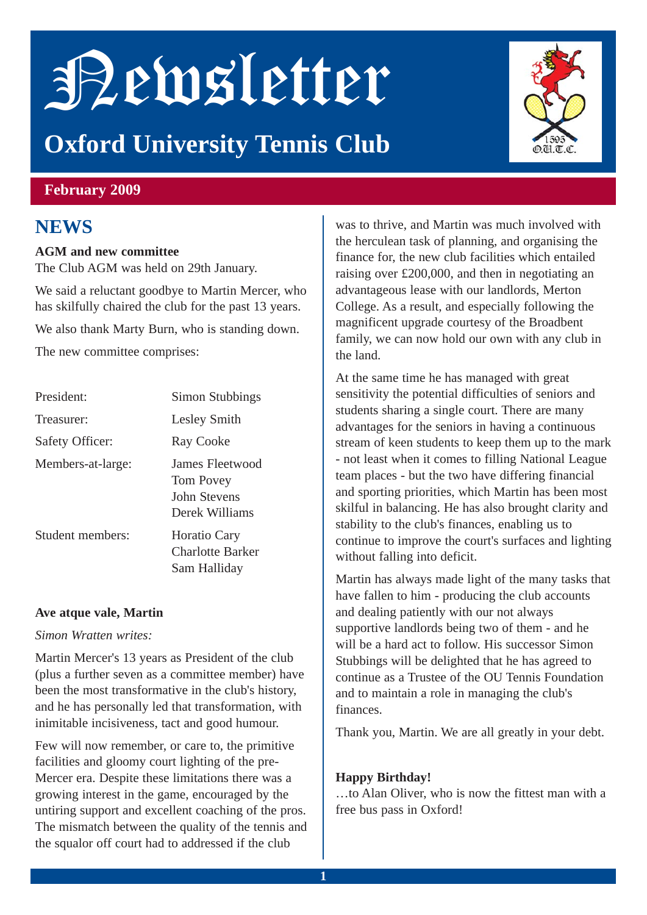# Newsletter

## **Oxford University Tennis Club**



#### **February 2009**

## **NEWS**

#### **AGM and new committee**

The Club AGM was held on 29th January.

We said a reluctant goodbye to Martin Mercer, who has skilfully chaired the club for the past 13 years.

We also thank Marty Burn, who is standing down.

The new committee comprises:

| President:        | Simon Stubbings                                                |
|-------------------|----------------------------------------------------------------|
| Treasurer:        | Lesley Smith                                                   |
| Safety Officer:   | Ray Cooke                                                      |
| Members-at-large: | James Fleetwood<br>Tom Povey<br>John Stevens<br>Derek Williams |
| Student members:  | <b>Horatio Cary</b><br><b>Charlotte Barker</b><br>Sam Halliday |

#### **Ave atque vale, Martin**

#### *Simon Wratten writes:*

Martin Mercer's 13 years as President of the club (plus a further seven as a committee member) have been the most transformative in the club's history, and he has personally led that transformation, with inimitable incisiveness, tact and good humour.

Few will now remember, or care to, the primitive facilities and gloomy court lighting of the pre-Mercer era. Despite these limitations there was a growing interest in the game, encouraged by the untiring support and excellent coaching of the pros. The mismatch between the quality of the tennis and the squalor off court had to addressed if the club

was to thrive, and Martin was much involved with the herculean task of planning, and organising the finance for, the new club facilities which entailed raising over £200,000, and then in negotiating an advantageous lease with our landlords, Merton College. As a result, and especially following the magnificent upgrade courtesy of the Broadbent family, we can now hold our own with any club in the land.

At the same time he has managed with great sensitivity the potential difficulties of seniors and students sharing a single court. There are many advantages for the seniors in having a continuous stream of keen students to keep them up to the mark - not least when it comes to filling National League team places - but the two have differing financial and sporting priorities, which Martin has been most skilful in balancing. He has also brought clarity and stability to the club's finances, enabling us to continue to improve the court's surfaces and lighting without falling into deficit.

Martin has always made light of the many tasks that have fallen to him - producing the club accounts and dealing patiently with our not always supportive landlords being two of them - and he will be a hard act to follow. His successor Simon Stubbings will be delighted that he has agreed to continue as a Trustee of the OU Tennis Foundation and to maintain a role in managing the club's finances.

Thank you, Martin. We are all greatly in your debt.

#### **Happy Birthday!**

…to Alan Oliver, who is now the fittest man with a free bus pass in Oxford!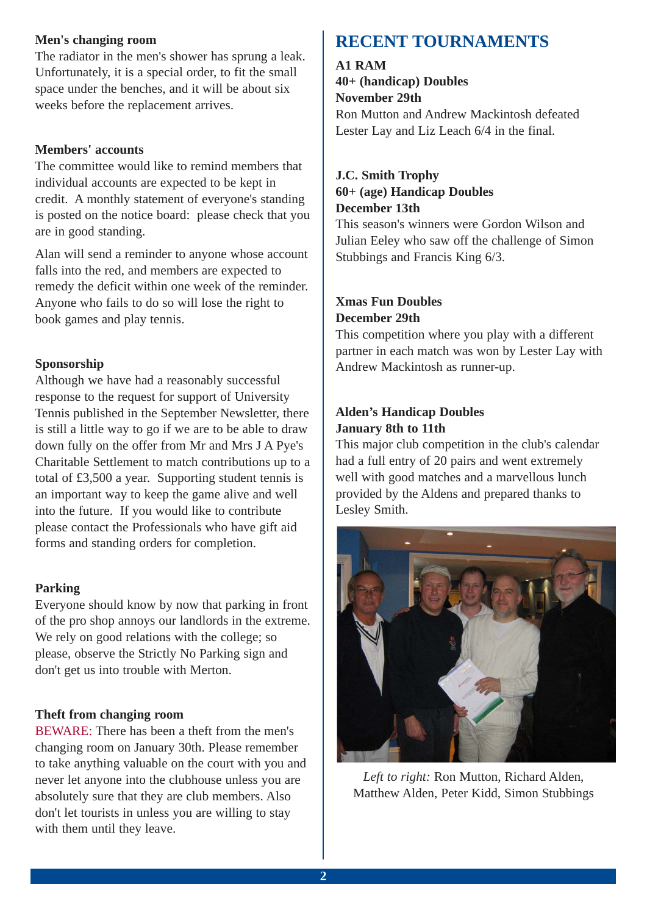#### **Men's changing room**

The radiator in the men's shower has sprung a leak. Unfortunately, it is a special order, to fit the small space under the benches, and it will be about six weeks before the replacement arrives.

#### **Members' accounts**

The committee would like to remind members that individual accounts are expected to be kept in credit. A monthly statement of everyone's standing is posted on the notice board: please check that you are in good standing.

Alan will send a reminder to anyone whose account falls into the red, and members are expected to remedy the deficit within one week of the reminder. Anyone who fails to do so will lose the right to book games and play tennis.

#### **Sponsorship**

Although we have had a reasonably successful response to the request for support of University Tennis published in the September Newsletter, there is still a little way to go if we are to be able to draw down fully on the offer from Mr and Mrs J A Pye's Charitable Settlement to match contributions up to a total of £3,500 a year. Supporting student tennis is an important way to keep the game alive and well into the future. If you would like to contribute please contact the Professionals who have gift aid forms and standing orders for completion.

#### **Parking**

Everyone should know by now that parking in front of the pro shop annoys our landlords in the extreme. We rely on good relations with the college; so please, observe the Strictly No Parking sign and don't get us into trouble with Merton.

#### **Theft from changing room**

BEWARE: There has been a theft from the men's changing room on January 30th. Please remember to take anything valuable on the court with you and never let anyone into the clubhouse unless you are absolutely sure that they are club members. Also don't let tourists in unless you are willing to stay with them until they leave.

### **RECENT TOURNAMENTS**

**A1 RAM 40+ (handicap) Doubles November 29th** Ron Mutton and Andrew Mackintosh defeated Lester Lay and Liz Leach 6/4 in the final.

#### **J.C. Smith Trophy 60+ (age) Handicap Doubles December 13th**

This season's winners were Gordon Wilson and Julian Eeley who saw off the challenge of Simon Stubbings and Francis King 6/3.

#### **Xmas Fun Doubles December 29th**

This competition where you play with a different partner in each match was won by Lester Lay with Andrew Mackintosh as runner-up.

#### **Alden's Handicap Doubles January 8th to 11th**

This major club competition in the club's calendar had a full entry of 20 pairs and went extremely well with good matches and a marvellous lunch provided by the Aldens and prepared thanks to Lesley Smith.



*Left to right:* Ron Mutton, Richard Alden, Matthew Alden, Peter Kidd, Simon Stubbings